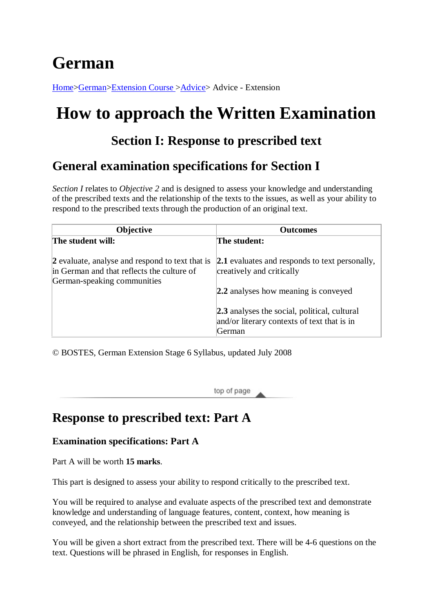# **German**

[Home>](http://www.hsc.csu.edu.au/)[German](http://www.hsc.csu.edu.au/german/)[>Extension Course >](http://www.hsc.csu.edu.au/german/#112077)[Advice>](http://www.hsc.csu.edu.au/german/extension/advice/) Advice - Extension

# **How to approach the Written Examination**

# **Section I: Response to prescribed text**

# **General examination specifications for Section I**

*Section I* relates to *Objective 2* and is designed to assess your knowledge and understanding of the prescribed texts and the relationship of the texts to the issues, as well as your ability to respond to the prescribed texts through the production of an original text.

| Objective                                                                                                                    | <b>Outcomes</b>                                                                                              |
|------------------------------------------------------------------------------------------------------------------------------|--------------------------------------------------------------------------------------------------------------|
| The student will:                                                                                                            | The student:                                                                                                 |
| 2 evaluate, analyse and respond to text that is<br>in German and that reflects the culture of<br>German-speaking communities | <b>2.1</b> evaluates and responds to text personally,<br>creatively and critically                           |
|                                                                                                                              | 2.2 analyses how meaning is conveyed                                                                         |
|                                                                                                                              | <b>2.3</b> analyses the social, political, cultural<br>and/or literary contexts of text that is in<br>German |

© BOSTES, German Extension Stage 6 Syllabus, updated July 2008

top of page

## **Response to prescribed text: Part A**

### **Examination specifications: Part A**

Part A will be worth **15 marks**.

This part is designed to assess your ability to respond critically to the prescribed text.

You will be required to analyse and evaluate aspects of the prescribed text and demonstrate knowledge and understanding of language features, content, context, how meaning is conveyed, and the relationship between the prescribed text and issues.

You will be given a short extract from the prescribed text. There will be 4-6 questions on the text. Questions will be phrased in English, for responses in English.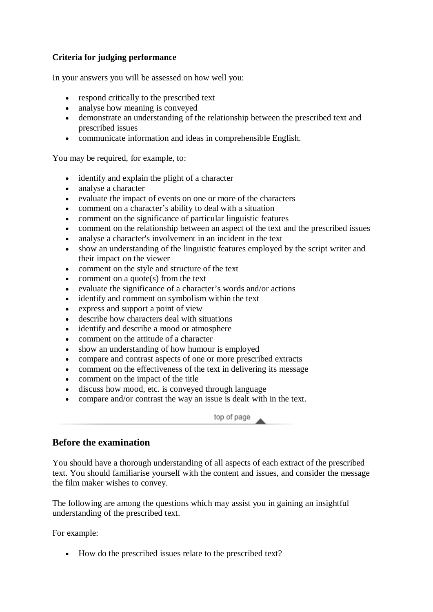#### **Criteria for judging performance**

In your answers you will be assessed on how well you:

- respond critically to the prescribed text
- analyse how meaning is conveyed
- demonstrate an understanding of the relationship between the prescribed text and prescribed issues
- communicate information and ideas in comprehensible English.

You may be required, for example, to:

- identify and explain the plight of a character
- analyse a character
- evaluate the impact of events on one or more of the characters
- comment on a character's ability to deal with a situation
- comment on the significance of particular linguistic features
- comment on the relationship between an aspect of the text and the prescribed issues
- analyse a character's involvement in an incident in the text
- show an understanding of the linguistic features employed by the script writer and their impact on the viewer
- comment on the style and structure of the text
- comment on a quote(s) from the text
- evaluate the significance of a character's words and/or actions
- identify and comment on symbolism within the text
- express and support a point of view
- describe how characters deal with situations
- identify and describe a mood or atmosphere
- comment on the attitude of a character
- show an understanding of how humour is employed
- compare and contrast aspects of one or more prescribed extracts
- comment on the effectiveness of the text in delivering its message
- comment on the impact of the title
- discuss how mood, etc. is conveyed through language
- compare and/or contrast the way an issue is dealt with in the text.

top of page

#### **Before the examination**

You should have a thorough understanding of all aspects of each extract of the prescribed text. You should familiarise yourself with the content and issues, and consider the message the film maker wishes to convey.

The following are among the questions which may assist you in gaining an insightful understanding of the prescribed text.

For example:

• How do the prescribed issues relate to the prescribed text?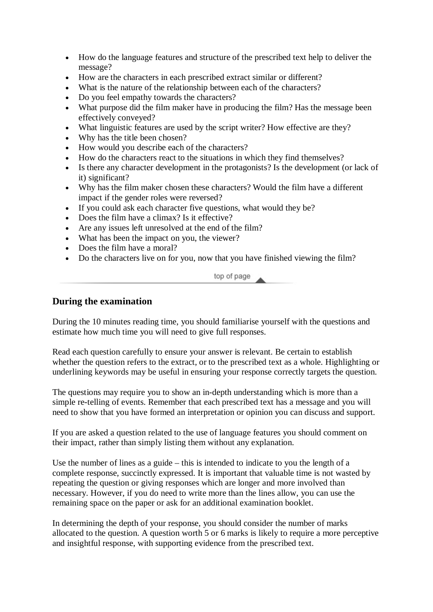- How do the language features and structure of the prescribed text help to deliver the message?
- How are the characters in each prescribed extract similar or different?
- What is the nature of the relationship between each of the characters?
- Do you feel empathy towards the characters?
- What purpose did the film maker have in producing the film? Has the message been effectively conveyed?
- What linguistic features are used by the script writer? How effective are they?
- Why has the title been chosen?
- How would you describe each of the characters?
- How do the characters react to the situations in which they find themselves?
- Is there any character development in the protagonists? Is the development (or lack of it) significant?
- Why has the film maker chosen these characters? Would the film have a different impact if the gender roles were reversed?
- If you could ask each character five questions, what would they be?
- Does the film have a climax? Is it effective?
- Are any issues left unresolved at the end of the film?
- What has been the impact on you, the viewer?
- Does the film have a moral?
- Do the characters live on for you, now that you have finished viewing the film?

top of page

#### **During the examination**

During the 10 minutes reading time, you should familiarise yourself with the questions and estimate how much time you will need to give full responses.

Read each question carefully to ensure your answer is relevant. Be certain to establish whether the question refers to the extract, or to the prescribed text as a whole. Highlighting or underlining keywords may be useful in ensuring your response correctly targets the question.

The questions may require you to show an in-depth understanding which is more than a simple re-telling of events. Remember that each prescribed text has a message and you will need to show that you have formed an interpretation or opinion you can discuss and support.

If you are asked a question related to the use of language features you should comment on their impact, rather than simply listing them without any explanation.

Use the number of lines as a guide – this is intended to indicate to you the length of a complete response, succinctly expressed. It is important that valuable time is not wasted by repeating the question or giving responses which are longer and more involved than necessary. However, if you do need to write more than the lines allow, you can use the remaining space on the paper or ask for an additional examination booklet.

In determining the depth of your response, you should consider the number of marks allocated to the question. A question worth 5 or 6 marks is likely to require a more perceptive and insightful response, with supporting evidence from the prescribed text.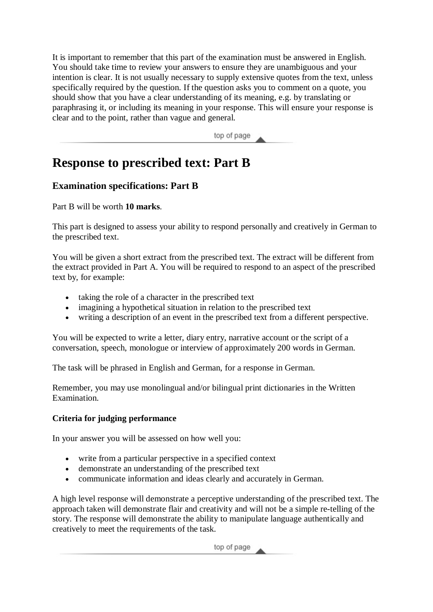It is important to remember that this part of the examination must be answered in English. You should take time to review your answers to ensure they are unambiguous and your intention is clear. It is not usually necessary to supply extensive quotes from the text, unless specifically required by the question. If the question asks you to comment on a quote, you should show that you have a clear understanding of its meaning, e.g. by translating or paraphrasing it, or including its meaning in your response. This will ensure your response is clear and to the point, rather than vague and general.

top of page

# **Response to prescribed text: Part B**

## **Examination specifications: Part B**

Part B will be worth **10 marks**.

This part is designed to assess your ability to respond personally and creatively in German to the prescribed text.

You will be given a short extract from the prescribed text. The extract will be different from the extract provided in Part A. You will be required to respond to an aspect of the prescribed text by, for example:

- taking the role of a character in the prescribed text
- imagining a hypothetical situation in relation to the prescribed text
- writing a description of an event in the prescribed text from a different perspective.

You will be expected to write a letter, diary entry, narrative account or the script of a conversation, speech, monologue or interview of approximately 200 words in German.

The task will be phrased in English and German, for a response in German.

Remember, you may use monolingual and/or bilingual print dictionaries in the Written Examination.

### **Criteria for judging performance**

In your answer you will be assessed on how well you:

- write from a particular perspective in a specified context
- demonstrate an understanding of the prescribed text
- communicate information and ideas clearly and accurately in German.

A high level response will demonstrate a perceptive understanding of the prescribed text. The approach taken will demonstrate flair and creativity and will not be a simple re-telling of the story. The response will demonstrate the ability to manipulate language authentically and creatively to meet the requirements of the task.

top of page